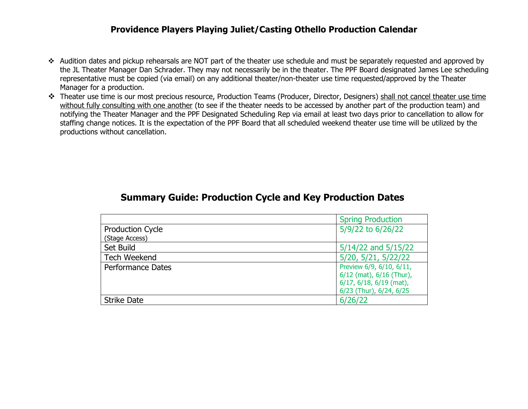## **Providence Players Playing Juliet/Casting Othello Production Calendar**

- ❖ Audition dates and pickup rehearsals are NOT part of the theater use schedule and must be separately requested and approved by the JL Theater Manager Dan Schrader. They may not necessarily be in the theater. The PPF Board designated James Lee scheduling representative must be copied (via email) on any additional theater/non-theater use time requested/approved by the Theater Manager for a production.
- ❖ Theater use time is our most precious resource, Production Teams (Producer, Director, Designers) shall not cancel theater use time without fully consulting with one another (to see if the theater needs to be accessed by another part of the production team) and notifying the Theater Manager and the PPF Designated Scheduling Rep via email at least two days prior to cancellation to allow for staffing change notices. It is the expectation of the PPF Board that all scheduled weekend theater use time will be utilized by the productions without cancellation.

|                         | <b>Spring Production</b>        |
|-------------------------|---------------------------------|
| <b>Production Cycle</b> | 5/9/22 to 6/26/22               |
| (Stage Access)          |                                 |
| Set Build               | 5/14/22 and 5/15/22             |
| <b>Tech Weekend</b>     | 5/20, 5/21, 5/22/22             |
| Performance Dates       | Preview 6/9, 6/10, 6/11,        |
|                         | 6/12 (mat), 6/16 (Thur),        |
|                         | $6/17$ , $6/18$ , $6/19$ (mat), |
|                         | 6/23 (Thur), 6/24, 6/25         |
| <b>Strike Date</b>      | 6/26/22                         |

## **Summary Guide: Production Cycle and Key Production Dates**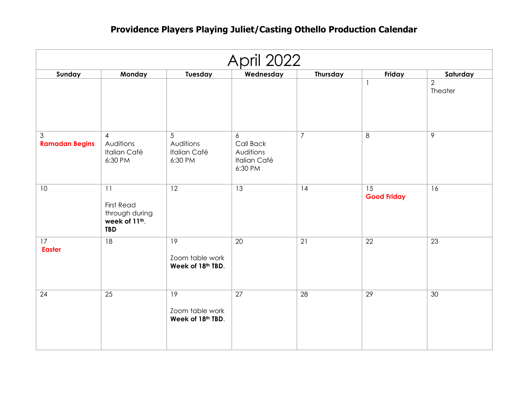## **Providence Players Playing Juliet/Casting Othello Production Calendar**

| <b>April 2022</b>          |                                                                          |                                                         |                                                               |                 |                          |                           |
|----------------------------|--------------------------------------------------------------------------|---------------------------------------------------------|---------------------------------------------------------------|-----------------|--------------------------|---------------------------|
| Sunday                     | Monday                                                                   | Tuesday                                                 | Wednesday                                                     | <b>Thursday</b> | Friday                   | Saturday                  |
|                            |                                                                          |                                                         |                                                               |                 | $\mathbf{1}$             | $\overline{2}$<br>Theater |
| 3<br><b>Ramadan Begins</b> | $\overline{4}$<br>Auditions<br><b>Italian Café</b><br>6:30 PM            | 5<br>Auditions<br><b>Italian Café</b><br>6:30 PM        | 6<br>Call Back<br>Auditions<br><b>Italian Café</b><br>6:30 PM | $\overline{7}$  | $\,8\,$                  | $\overline{9}$            |
| 10                         | 11<br><b>First Read</b><br>through during<br>week of 11th.<br><b>TBD</b> | 12                                                      | 13                                                            | 14              | 15<br><b>Good Friday</b> | 16                        |
| 17<br><b>Easter</b>        | 18                                                                       | 19<br>Zoom table work<br>Week of 18th TBD.              | 20                                                            | 21              | 22                       | 23                        |
| 24                         | $\overline{25}$                                                          | $\overline{19}$<br>Zoom table work<br>Week of 18th TBD. | $\overline{27}$                                               | $\overline{28}$ | $\overline{29}$          | 30                        |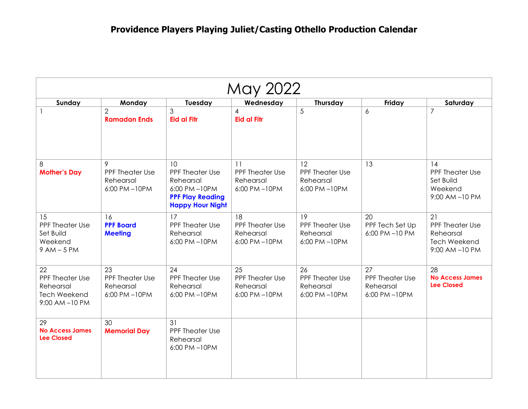| May 2022                                                                          |                                                           |                                                                                                          |                                                           |                                                    |                                                    |                                                                            |
|-----------------------------------------------------------------------------------|-----------------------------------------------------------|----------------------------------------------------------------------------------------------------------|-----------------------------------------------------------|----------------------------------------------------|----------------------------------------------------|----------------------------------------------------------------------------|
| Sunday                                                                            | Monday                                                    | Tuesday                                                                                                  | Wednesday                                                 | Thursday                                           | Friday                                             | Saturday                                                                   |
|                                                                                   | $\overline{2}$<br><b>Ramadan Ends</b>                     | 3<br><b>Eid al Fitr</b>                                                                                  | $\overline{4}$<br><b>Eid al Fitr</b>                      | 5                                                  | $\boldsymbol{6}$                                   | $\overline{7}$                                                             |
| 8<br><b>Mother's Day</b>                                                          | 9<br>PPF Theater Use<br>Rehearsal<br>6:00 PM-10PM         | 10<br>PPF Theater Use<br>Rehearsal<br>6:00 PM-10PM<br><b>PPF Play Reading</b><br><b>Happy Hour Night</b> | 11<br><b>PPF Theater Use</b><br>Rehearsal<br>6:00 PM-10PM | 12<br>PPF Theater Use<br>Rehearsal<br>6:00 PM-10PM | 13                                                 | 14<br><b>PPF Theater Use</b><br>Set Build<br>Weekend<br>9:00 AM-10 PM      |
| 15<br>PPF Theater Use<br>Set Build<br>Weekend<br>$9AM - 5PM$                      | 16<br><b>PPF Board</b><br><b>Meeting</b>                  | 17<br>PPF Theater Use<br>Rehearsal<br>6:00 PM-10PM                                                       | 18<br><b>PPF Theater Use</b><br>Rehearsal<br>6:00 PM-10PM | 19<br>PPF Theater Use<br>Rehearsal<br>6:00 PM-10PM | 20<br>PPF Tech Set Up<br>6:00 PM-10 PM             | 21<br>PPF Theater Use<br>Rehearsal<br><b>Tech Weekend</b><br>9:00 AM-10 PM |
| 22<br><b>PPF Theater Use</b><br>Rehearsal<br><b>Tech Weekend</b><br>9:00 AM-10 PM | 23<br><b>PPF Theater Use</b><br>Rehearsal<br>6:00 PM-10PM | 24<br>PPF Theater Use<br>Rehearsal<br>6:00 PM-10PM                                                       | 25<br><b>PPF Theater Use</b><br>Rehearsal<br>6:00 PM-10PM | 26<br>PPF Theater Use<br>Rehearsal<br>6:00 PM-10PM | 27<br>PPF Theater Use<br>Rehearsal<br>6:00 PM-10PM | 28<br><b>No Access James</b><br><b>Lee Closed</b>                          |
| 29<br><b>No Access James</b><br><b>Lee Closed</b>                                 | 30<br><b>Memorial Day</b>                                 | 31<br>PPF Theater Use<br>Rehearsal<br>6:00 PM-10PM                                                       |                                                           |                                                    |                                                    |                                                                            |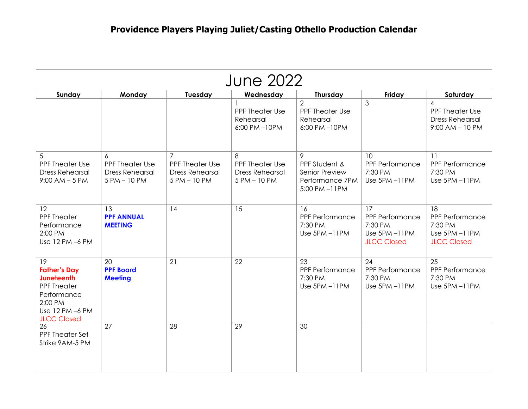| <b>June 2022</b>                                                                                                                        |                                                                |                                                                                    |                                                                |                                                                         |                                                                        |                                                                                   |
|-----------------------------------------------------------------------------------------------------------------------------------------|----------------------------------------------------------------|------------------------------------------------------------------------------------|----------------------------------------------------------------|-------------------------------------------------------------------------|------------------------------------------------------------------------|-----------------------------------------------------------------------------------|
| Sunday                                                                                                                                  | Monday                                                         | Tuesday                                                                            | Wednesday                                                      | Thursday                                                                | Friday                                                                 | Saturday                                                                          |
|                                                                                                                                         |                                                                |                                                                                    | $\mathbf{1}$<br>PPF Theater Use<br>Rehearsal<br>6:00 PM-10PM   | $\overline{2}$<br><b>PPF Theater Use</b><br>Rehearsal<br>6:00 PM-10PM   | 3                                                                      | $\overline{4}$<br>PPF Theater Use<br><b>Dress Rehearsal</b><br>$9:00$ AM $-10$ PM |
| 5<br><b>PPF Theater Use</b><br><b>Dress Rehearsal</b><br>$9:00$ AM $-5$ PM                                                              | 6<br>PPF Theater Use<br><b>Dress Rehearsal</b><br>5 PM - 10 PM | $\overline{7}$<br><b>PPF Theater Use</b><br><b>Dress Rehearsal</b><br>5 PM - 10 PM | 8<br>PPF Theater Use<br><b>Dress Rehearsal</b><br>5 PM - 10 PM | 9<br>PPF Student &<br>Senior Preview<br>Performance 7PM<br>5:00 PM-11PM | 10<br>PPF Performance<br>7:30 PM<br>Use 5PM-11PM                       | 11<br>PPF Performance<br>7:30 PM<br>Use 5PM-11PM                                  |
| 12<br><b>PPF Theater</b><br>Performance<br>2:00 PM<br>Use 12 PM -6 PM                                                                   | 13<br><b>PPF ANNUAL</b><br><b>MEETING</b>                      | 14                                                                                 | 15                                                             | 16<br>PPF Performance<br>7:30 PM<br>Use 5PM-11PM                        | 17<br>PPF Performance<br>7:30 PM<br>Use 5PM-11PM<br><b>JLCC Closed</b> | 18<br>PPF Performance<br>7:30 PM<br>Use 5PM-11PM<br><b>JLCC Closed</b>            |
| 19<br><b>Father's Day</b><br><b>Juneteenth</b><br><b>PPF Theater</b><br>Performance<br>2:00 PM<br>Use 12 PM -6 PM<br><b>JLCC Closed</b> | 20<br><b>PPF Board</b><br><b>Meeting</b>                       | 21                                                                                 | 22                                                             | 23<br>PPF Performance<br>7:30 PM<br>Use 5PM-11PM                        | 24<br>PPF Performance<br>7:30 PM<br>Use 5PM-11PM                       | 25<br>PPF Performance<br>7:30 PM<br>Use 5PM-11PM                                  |
| 26<br>PPF Theater Set<br>Strike 9AM-5 PM                                                                                                | 27                                                             | 28                                                                                 | 29                                                             | 30                                                                      |                                                                        |                                                                                   |